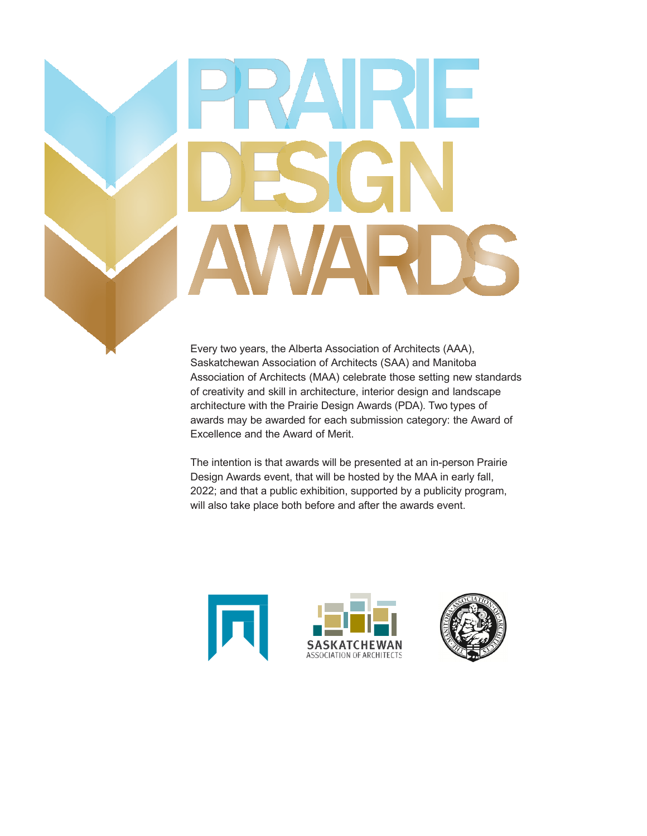# 

Every two years, the Alberta Association of Architects (AAA), Saskatchewan Association of Architects (SAA) and Manitoba Association of Architects (MAA) celebrate those setting new standards of creativity and skill in architecture, interior design and landscape architecture with the Prairie Design Awards (PDA). Two types of awards may be awarded for each submission category: the Award of Excellence and the Award of Merit.

The intention is that awards will be presented at an in-person Prairie Design Awards event, that will be hosted by the MAA in early fall, 2022; and that a public exhibition, supported by a publicity program, will also take place both before and after the awards event.



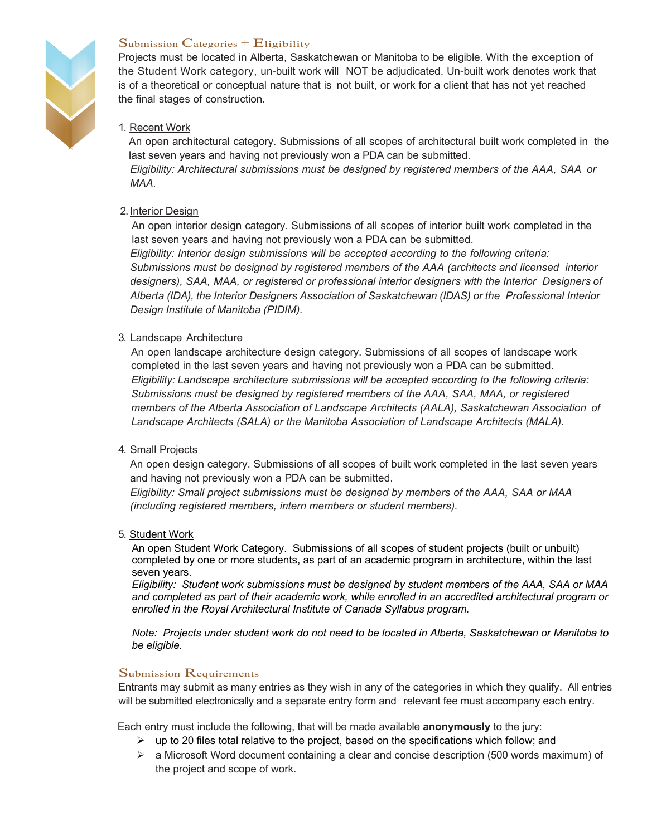

#### Submission Categories  $+$  Eligibility

Projects must be located in Alberta, Saskatchewan or Manitoba to be eligible. With the exception of the Student Work category, un-built work will NOT be adjudicated. Un-built work denotes work that is of a theoretical or conceptual nature that is not built, or work for a client that has not yet reached the final stages of construction.

#### 1. Recent Work

An open architectural category. Submissions of all scopes of architectural built work completed in the last seven years and having not previously won a PDA can be submitted.

*Eligibility: Architectural submissions must be designed by registered members of the AAA, SAA or MAA.*

#### 2.Interior Design

An open interior design category. Submissions of all scopes of interior built work completed in the last seven years and having not previously won a PDA can be submitted.

*Eligibility: Interior design submissions will be accepted according to the following criteria: Submissions must be designed by registered members of the AAA (architects and licensed interior designers), SAA, MAA, or registered or professional interior designers with the Interior Designers of Alberta (IDA), the Interior Designers Association of Saskatchewan (IDAS) or the Professional Interior Design Institute of Manitoba (PIDIM).*

#### 3. Landscape Architecture

An open landscape architecture design category. Submissions of all scopes of landscape work completed in the last seven years and having not previously won a PDA can be submitted. *Eligibility: Landscape architecture submissions will be accepted according to the following criteria: Submissions must be designed by registered members of the AAA, SAA, MAA, or registered members of the Alberta Association of Landscape Architects (AALA), Saskatchewan Association of Landscape Architects (SALA) or the Manitoba Association of Landscape Architects (MALA).*

#### 4. Small Projects

An open design category. Submissions of all scopes of built work completed in the last seven years and having not previously won a PDA can be submitted.

*Eligibility: Small project submissions must be designed by members of the AAA, SAA or MAA (including registered members, intern members or student members).*

#### 5. Student Work

An open Student Work Category. Submissions of all scopes of student projects (built or unbuilt) completed by one or more students, as part of an academic program in architecture, within the last seven years.

*Eligibility: Student work submissions must be designed by student members of the AAA, SAA or MAA and completed as part of their academic work, while enrolled in an accredited architectural program or enrolled in the Royal Architectural Institute of Canada Syllabus program.*

*Note: Projects under student work do not need to be located in Alberta, Saskatchewan or Manitoba to be eligible.* 

#### Submission Requirements

Entrants may submit as many entries as they wish in any of the categories in which they qualify. All entries will be submitted electronically and a separate entry form and relevant fee must accompany each entry.

Each entry must include the following, that will be made available **anonymously** to the jury:

- $\triangleright$  up to 20 files total relative to the project, based on the specifications which follow; and
- $\triangleright$  a Microsoft Word document containing a clear and concise description (500 words maximum) of the project and scope of work.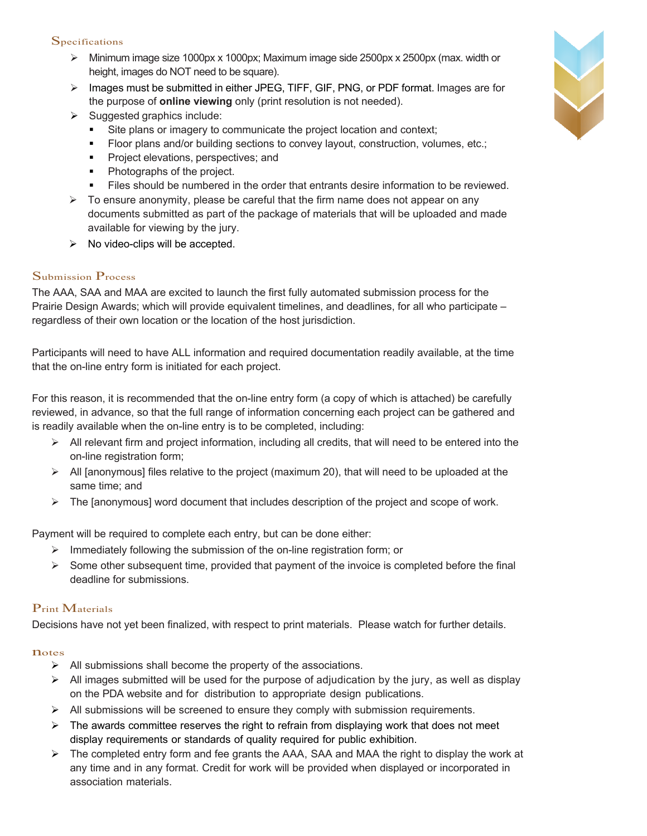#### **Specifications**

- $\triangleright$  Minimum image size 1000px x 1000px; Maximum image side 2500px x 2500px (max. width or height, images do NOT need to be square).
- $\triangleright$  Images must be submitted in either JPEG, TIFF, GIF, PNG, or PDF format. Images are for the purpose of **online viewing** only (print resolution is not needed).
- $\triangleright$  Suggested graphics include:
	- Site plans or imagery to communicate the project location and context;
	- Floor plans and/or building sections to convey layout, construction, volumes, etc.;
	- Project elevations, perspectives; and
	- Photographs of the project.
	- **•** Files should be numbered in the order that entrants desire information to be reviewed.
- $\triangleright$  To ensure anonymity, please be careful that the firm name does not appear on any documents submitted as part of the package of materials that will be uploaded and made available for viewing by the jury.
- $\triangleright$  No video-clips will be accepted.

#### Submission Process

The AAA, SAA and MAA are excited to launch the first fully automated submission process for the Prairie Design Awards; which will provide equivalent timelines, and deadlines, for all who participate – regardless of their own location or the location of the host jurisdiction.

Participants will need to have ALL information and required documentation readily available, at the time that the on-line entry form is initiated for each project.

For this reason, it is recommended that the on-line entry form (a copy of which is attached) be carefully reviewed, in advance, so that the full range of information concerning each project can be gathered and is readily available when the on-line entry is to be completed, including:

- $\triangleright$  All relevant firm and project information, including all credits, that will need to be entered into the on-line registration form;
- $\triangleright$  All [anonymous] files relative to the project (maximum 20), that will need to be uploaded at the same time; and
- $\triangleright$  The [anonymous] word document that includes description of the project and scope of work.

Payment will be required to complete each entry, but can be done either:

- $\triangleright$  Immediately following the submission of the on-line registration form; or
- $\triangleright$  Some other subsequent time, provided that payment of the invoice is completed before the final deadline for submissions.

#### Print Materials

Decisions have not yet been finalized, with respect to print materials. Please watch for further details.

#### **n**otes

- $\triangleright$  All submissions shall become the property of the associations.
- $\triangleright$  All images submitted will be used for the purpose of adjudication by the jury, as well as display on the PDA website and for distribution to appropriate design publications.
- $\triangleright$  All submissions will be screened to ensure they comply with submission requirements.
- $\triangleright$  The awards committee reserves the right to refrain from displaying work that does not meet display requirements or standards of quality required for public exhibition.
- $\triangleright$  The completed entry form and fee grants the AAA, SAA and MAA the right to display the work at any time and in any format. Credit for work will be provided when displayed or incorporated in association materials.

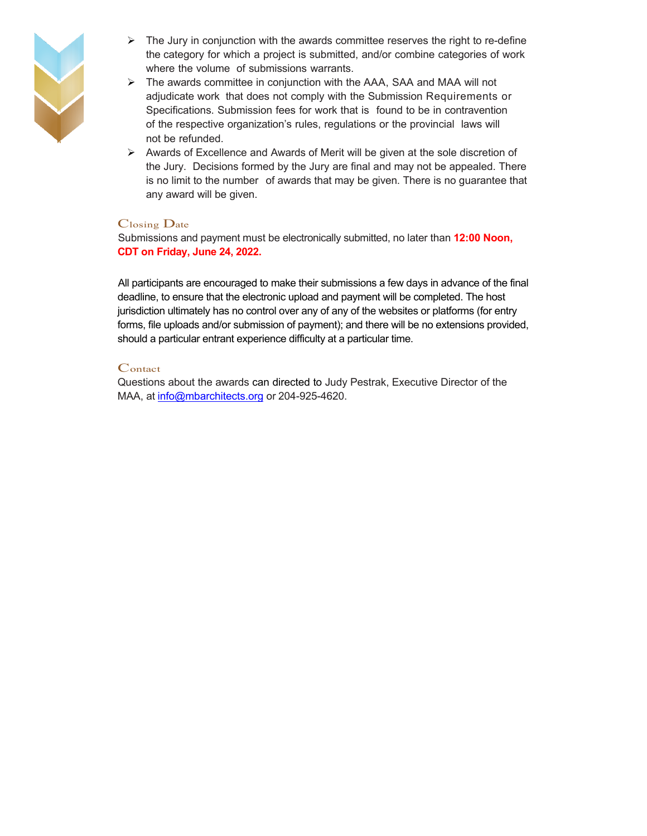

- $\triangleright$  The Jury in conjunction with the awards committee reserves the right to re-define the category for which a project is submitted, and/or combine categories of work where the volume of submissions warrants.
- $\triangleright$  The awards committee in conjunction with the AAA, SAA and MAA will not adjudicate work that does not comply with the Submission Requirements or Specifications. Submission fees for work that is found to be in contravention of the respective organization's rules, regulations or the provincial laws will not be refunded.
- $\triangleright$  Awards of Excellence and Awards of Merit will be given at the sole discretion of the Jury. Decisions formed by the Jury are final and may not be appealed. There is no limit to the number of awards that may be given. There is no guarantee that any award will be given.

#### Closing Date

Submissions and payment must be electronically submitted, no later than **12:00 Noon, CDT on Friday, June 24, 2022.**

All participants are encouraged to make their submissions a few days in advance of the final deadline, to ensure that the electronic upload and payment will be completed. The host jurisdiction ultimately has no control over any of any of the websites or platforms (for entry forms, file uploads and/or submission of payment); and there will be no extensions provided, should a particular entrant experience difficulty at a particular time.

#### **C**ontact

Questions about the awards can directed to Judy Pestrak, Executive Director of the MAA, at info@mbarchitects.org or 204-925-4620.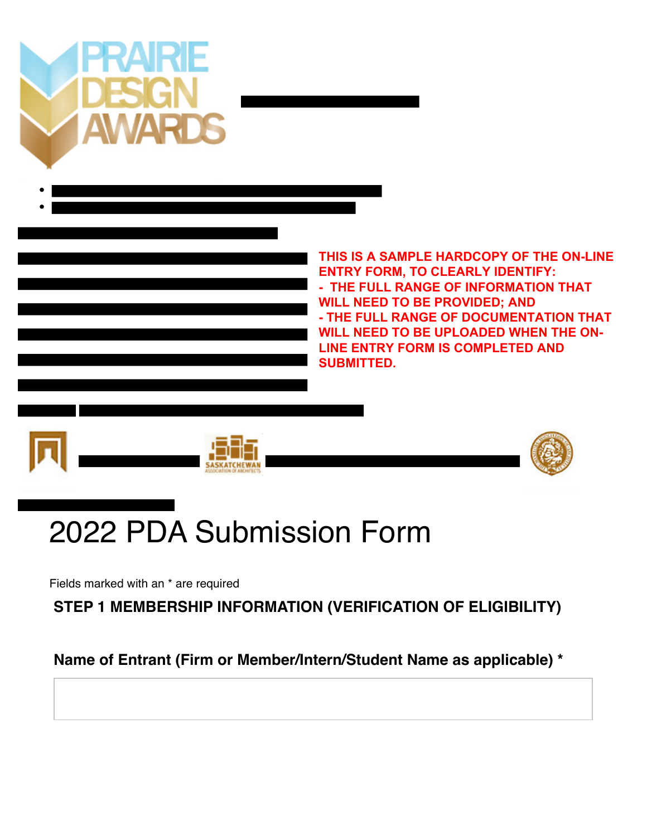



# 2022 PDA Submission Form

Fields marked with an \* are required

**STEP 1 MEMBERSHIP INFORMATION (VERIFICATION OF ELIGIBILITY)**

**Name of Entrant (Firm or Member/Intern/Student Name as applicable) \***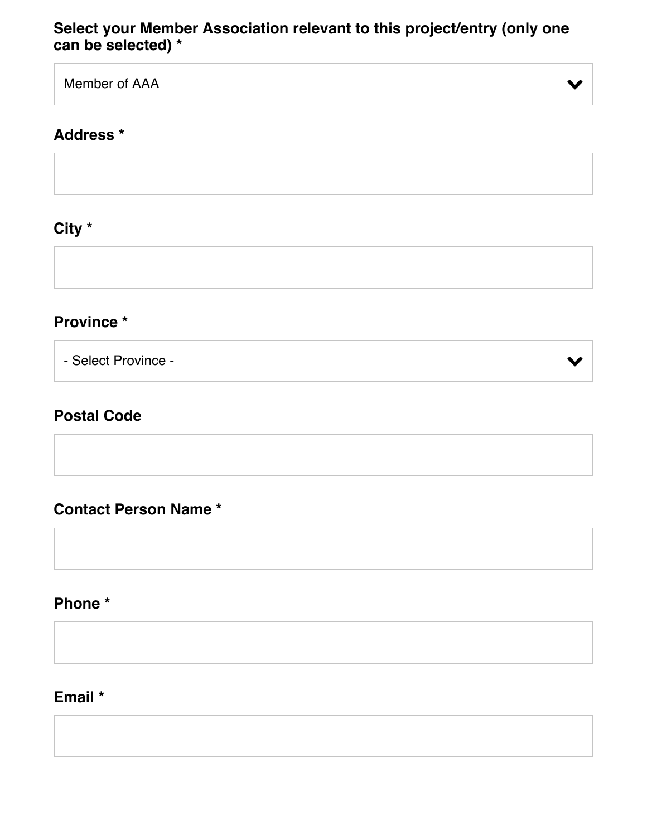#### **Select your Member Association relevant to this project/entry (only one can be selected) \***

Member of AAA

#### **Address \***

**City \***

#### **Province \***

- Select Province -

# **Postal Code**

**Contact Person Name \***

**Phone \***

#### **Email \***

 $\blacktriangleright$ 

 $\checkmark$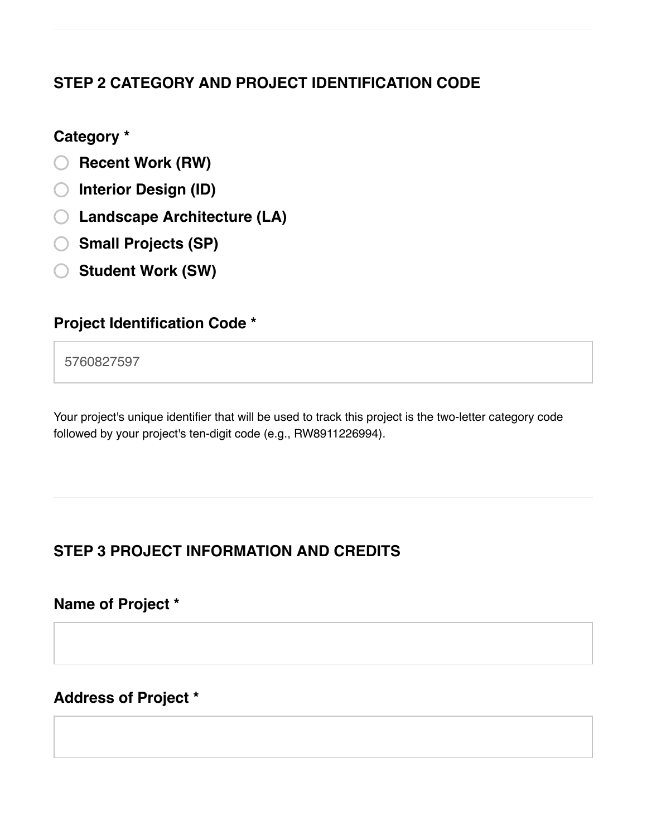# **STEP 2 CATEGORY AND PROJECT IDENTIFICATION CODE**

#### **Category \***

- **Recent Work (RW)**
- **Interior Design (ID)**
- **Landscape Architecture (LA)**
- **Small Projects (SP)**
- **Student Work (SW)**

# **Project Identification Code \***

5760827597

Your project's unique identifier that will be used to track this project is the two-letter category code followed by your project's ten-digit code (e.g., RW8911226994).

# **STEP 3 PROJECT INFORMATION AND CREDITS**

**Name of Project \***

# **Address of Project \***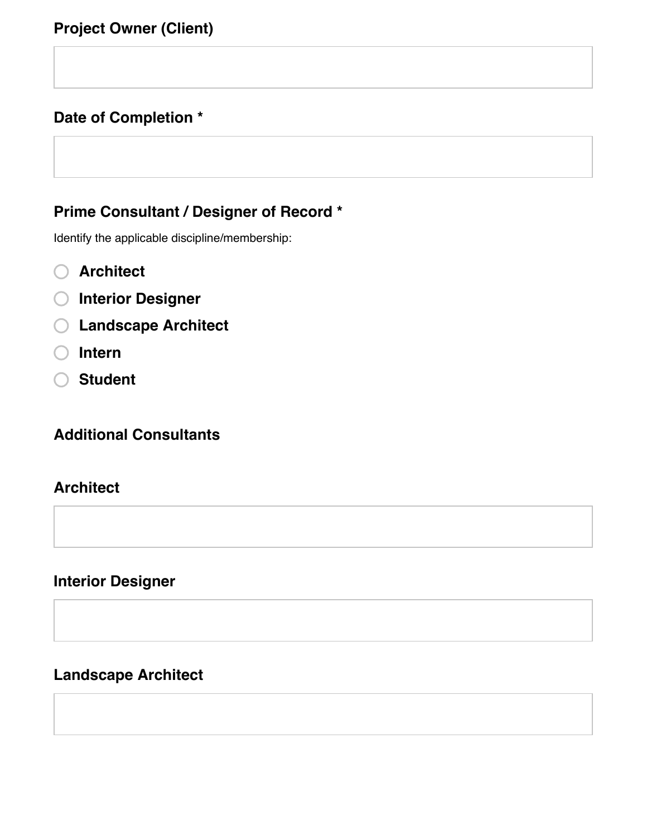# **Date of Completion \***

# **Prime Consultant / Designer of Record \***

Identify the applicable discipline/membership:

- **Architect**
- **Interior Designer**
- **Landscape Architect**
- **Intern**
- **Student**

**Additional Consultants**

#### **Architect**

**Interior Designer**

# **Landscape Architect**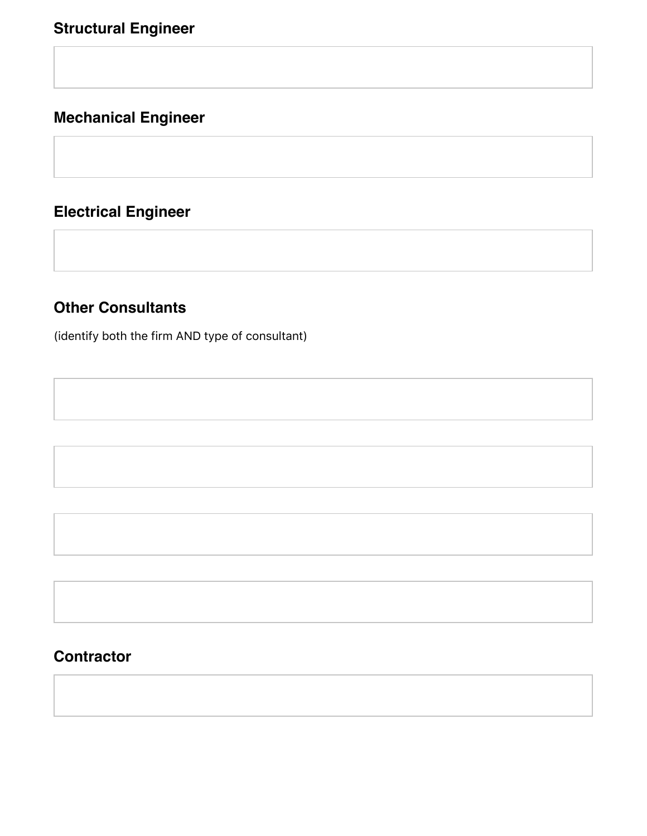# **Mechanical Engineer**

# **Electrical Engineer**

#### **Other Consultants**

(identify both the firm AND type of consultant)

#### **Contractor**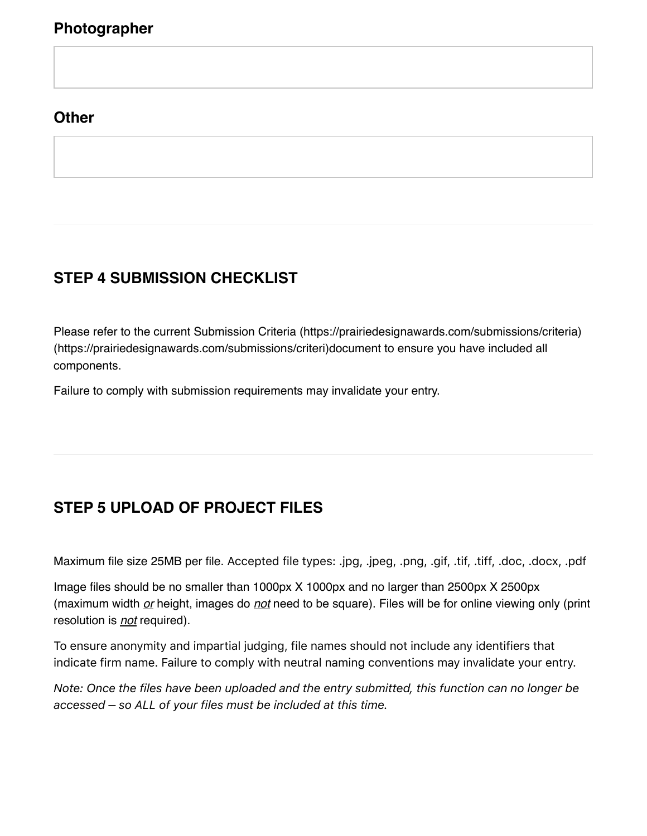#### **Photographer**

#### **Other**

# **STEP 4 SUBMISSION CHECKLIST**

Please refer to the current [Submission Criteria \(https://prairiedesignawards.com/submissions/criteria\)](https://prairiedesignawards.com/submissions/criteria) [\(https://prairiedesignawards.com/submissions/criteri\)d](https://prairiedesignawards.com/submissions/criteri)ocument to ensure you have included all components.

Failure to comply with submission requirements may invalidate your entry.

# **STEP 5 UPLOAD OF PROJECT FILES**

Maximum file size 25MB per file. Accepted file types: .jpg, .jpeg, .png, .gif, .tif, .tiff, .doc, .docx, .pdf

Image files should be no smaller than 1000px X 1000px and no larger than 2500px X 2500px (maximum width *or* height, images do *not* need to be square). Files will be for online viewing only (print resolution is *not* required).

To ensure anonymity and impartial judging, file names should not include any identifiers that indicate firm name. Failure to comply with neutral naming conventions may invalidate your entry.

*Note: Once the files have been uploaded and the entry submitted, this function can no longer be accessed – so ALL of your files must be included at this time.*